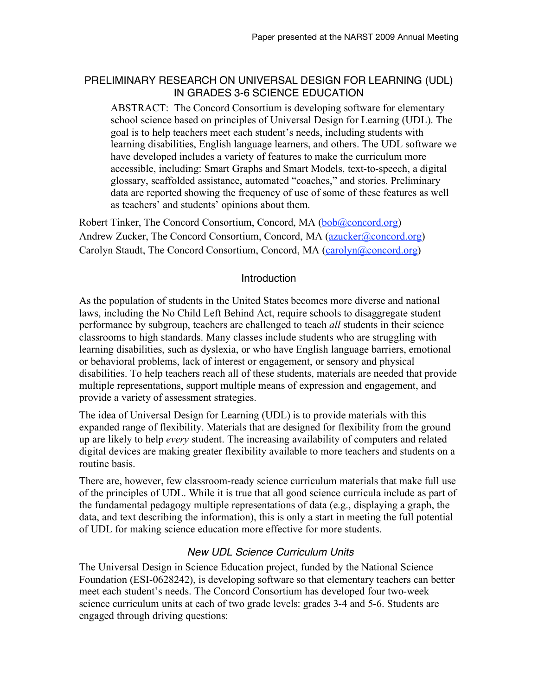## PRELIMINARY RESEARCH ON UNIVERSAL DESIGN FOR LEARNING (UDL) IN GRADES 3-6 SCIENCE EDUCATION

ABSTRACT: The Concord Consortium is developing software for elementary school science based on principles of Universal Design for Learning (UDL). The goal is to help teachers meet each student's needs, including students with learning disabilities, English language learners, and others. The UDL software we have developed includes a variety of features to make the curriculum more accessible, including: Smart Graphs and Smart Models, text-to-speech, a digital glossary, scaffolded assistance, automated "coaches," and stories. Preliminary data are reported showing the frequency of use of some of these features as well as teachers' and students' opinions about them.

Robert Tinker, The Concord Consortium, Concord, MA (bob@concord.org) Andrew Zucker, The Concord Consortium, Concord, MA (azucker@concord.org) Carolyn Staudt, The Concord Consortium, Concord, MA (carolyn@concord.org)

### **Introduction**

As the population of students in the United States becomes more diverse and national laws, including the No Child Left Behind Act, require schools to disaggregate student performance by subgroup, teachers are challenged to teach *all* students in their science classrooms to high standards. Many classes include students who are struggling with learning disabilities, such as dyslexia, or who have English language barriers, emotional or behavioral problems, lack of interest or engagement, or sensory and physical disabilities. To help teachers reach all of these students, materials are needed that provide multiple representations, support multiple means of expression and engagement, and provide a variety of assessment strategies.

The idea of Universal Design for Learning (UDL) is to provide materials with this expanded range of flexibility. Materials that are designed for flexibility from the ground up are likely to help *every* student. The increasing availability of computers and related digital devices are making greater flexibility available to more teachers and students on a routine basis.

There are, however, few classroom-ready science curriculum materials that make full use of the principles of UDL. While it is true that all good science curricula include as part of the fundamental pedagogy multiple representations of data (e.g., displaying a graph, the data, and text describing the information), this is only a start in meeting the full potential of UDL for making science education more effective for more students.

# *New UDL Science Curriculum Units*

The Universal Design in Science Education project, funded by the National Science Foundation (ESI-0628242), is developing software so that elementary teachers can better meet each student's needs. The Concord Consortium has developed four two-week science curriculum units at each of two grade levels: grades 3-4 and 5-6. Students are engaged through driving questions: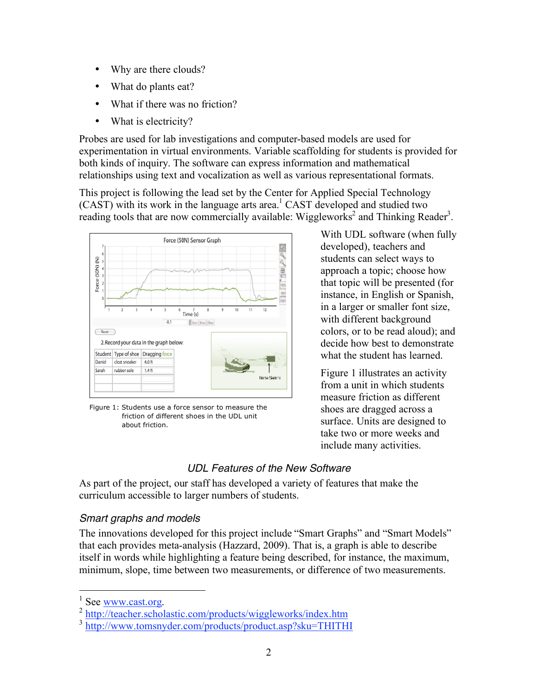- Why are there clouds?
- What do plants eat?
- What if there was no friction?
- What is electricity?

Probes are used for lab investigations and computer-based models are used for experimentation in virtual environments. Variable scaffolding for students is provided for both kinds of inquiry. The software can express information and mathematical relationships using text and vocalization as well as various representational formats.

This project is following the lead set by the Center for Applied Special Technology  $(CAST)$  with its work in the language arts area.<sup>1</sup> CAST developed and studied two reading tools that are now commercially available: Wiggleworks<sup>2</sup> and Thinking Reader<sup>3</sup>.



Figure 1: Students use a force sensor to measure the friction of different shoes in the UDL unit about friction.

With UDL software (when fully developed), teachers and students can select ways to approach a topic; choose how that topic will be presented (for instance, in English or Spanish, in a larger or smaller font size, with different background colors, or to be read aloud); and decide how best to demonstrate what the student has learned.

Figure 1 illustrates an activity from a unit in which students measure friction as different shoes are dragged across a surface. Units are designed to take two or more weeks and include many activities.

#### *UDL Features of the New Software*

As part of the project, our staff has developed a variety of features that make the curriculum accessible to larger numbers of students.

#### *Smart graphs and models*

The innovations developed for this project include "Smart Graphs" and "Smart Models" that each provides meta-analysis (Hazzard, 2009). That is, a graph is able to describe itself in words while highlighting a feature being described, for instance, the maximum, minimum, slope, time between two measurements, or difference of two measurements.

 $\frac{1}{1}$ 

 $\frac{1}{2}$  See www.cast.org.<br> $\frac{2 \text{ http://teacher.scholastic.com/products/wiggleworks/index.htm}}{2}$ 

<sup>3</sup> http://www.tomsnyder.com/products/product.asp?sku=THITHI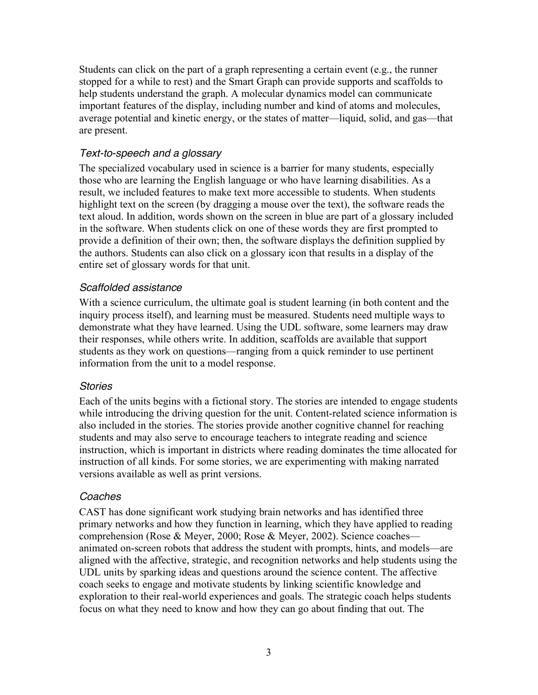Students can click on the part of a graph representing a certain event (e.g., the runner stopped for a while to rest) and the Smart Graph can provide supports and scaffolds to help students understand the graph. A molecular dynamics model can communicate important features of the display, including number and kind of atoms and molecules, average potential and kinetic energy, or the states of matter—liquid, solid, and gas—that are present.

## *Text-to-speech and a glossary*

The specialized vocabulary used in science is a barrier for many students, especially those who are learning the English language or who have learning disabilities. As a result, we included features to make text more accessible to students. When students highlight text on the screen (by dragging a mouse over the text), the software reads the text aloud. In addition, words shown on the screen in blue are part of a glossary included in the software. When students click on one of these words they are first prompted to provide a definition of their own; then, the software displays the definition supplied by the authors. Students can also click on a glossary icon that results in a display of the entire set of glossary words for that unit.

## *Scaffolded assistance*

With a science curriculum, the ultimate goal is student learning (in both content and the inquiry process itself), and learning must be measured. Students need multiple ways to demonstrate what they have learned. Using the UDL software, some learners may draw their responses, while others write. In addition, scaffolds are available that support students as they work on questions—ranging from a quick reminder to use pertinent information from the unit to a model response.

### *Stories*

Each of the units begins with a fictional story. The stories are intended to engage students while introducing the driving question for the unit. Content-related science information is also included in the stories. The stories provide another cognitive channel for reaching students and may also serve to encourage teachers to integrate reading and science instruction, which is important in districts where reading dominates the time allocated for instruction of all kinds. For some stories, we are experimenting with making narrated versions available as well as print versions.

### *Coaches*

CAST has done significant work studying brain networks and has identified three primary networks and how they function in learning, which they have applied to reading comprehension (Rose & Meyer, 2000; Rose & Meyer, 2002). Science coaches animated on-screen robots that address the student with prompts, hints, and models—are aligned with the affective, strategic, and recognition networks and help students using the UDL units by sparking ideas and questions around the science content. The affective coach seeks to engage and motivate students by linking scientific knowledge and exploration to their real-world experiences and goals. The strategic coach helps students focus on what they need to know and how they can go about finding that out. The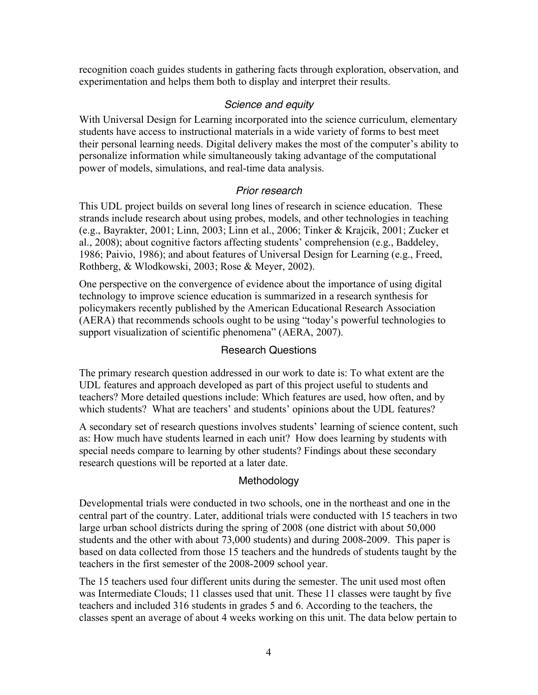recognition coach guides students in gathering facts through exploration, observation, and experimentation and helps them both to display and interpret their results.

## *Science and equity*

With Universal Design for Learning incorporated into the science curriculum, elementary students have access to instructional materials in a wide variety of forms to best meet their personal learning needs. Digital delivery makes the most of the computer's ability to personalize information while simultaneously taking advantage of the computational power of models, simulations, and real-time data analysis.

### *Prior research*

This UDL project builds on several long lines of research in science education. These strands include research about using probes, models, and other technologies in teaching (e.g., Bayrakter, 2001; Linn, 2003; Linn et al., 2006; Tinker & Krajcik, 2001; Zucker et al., 2008); about cognitive factors affecting students' comprehension (e.g., Baddeley, 1986; Paivio, 1986); and about features of Universal Design for Learning (e.g., Freed, Rothberg, & Wlodkowski, 2003; Rose & Meyer, 2002).

One perspective on the convergence of evidence about the importance of using digital technology to improve science education is summarized in a research synthesis for policymakers recently published by the American Educational Research Association (AERA) that recommends schools ought to be using "today's powerful technologies to support visualization of scientific phenomena" (AERA, 2007).

### Research Questions

The primary research question addressed in our work to date is: To what extent are the UDL features and approach developed as part of this project useful to students and teachers? More detailed questions include: Which features are used, how often, and by which students? What are teachers' and students' opinions about the UDL features?

A secondary set of research questions involves students' learning of science content, such as: How much have students learned in each unit? How does learning by students with special needs compare to learning by other students? Findings about these secondary research questions will be reported at a later date.

### Methodology

Developmental trials were conducted in two schools, one in the northeast and one in the central part of the country. Later, additional trials were conducted with 15 teachers in two large urban school districts during the spring of 2008 (one district with about 50,000 students and the other with about 73,000 students) and during 2008-2009. This paper is based on data collected from those 15 teachers and the hundreds of students taught by the teachers in the first semester of the 2008-2009 school year.

The 15 teachers used four different units during the semester. The unit used most often was Intermediate Clouds; 11 classes used that unit. These 11 classes were taught by five teachers and included 316 students in grades 5 and 6. According to the teachers, the classes spent an average of about 4 weeks working on this unit. The data below pertain to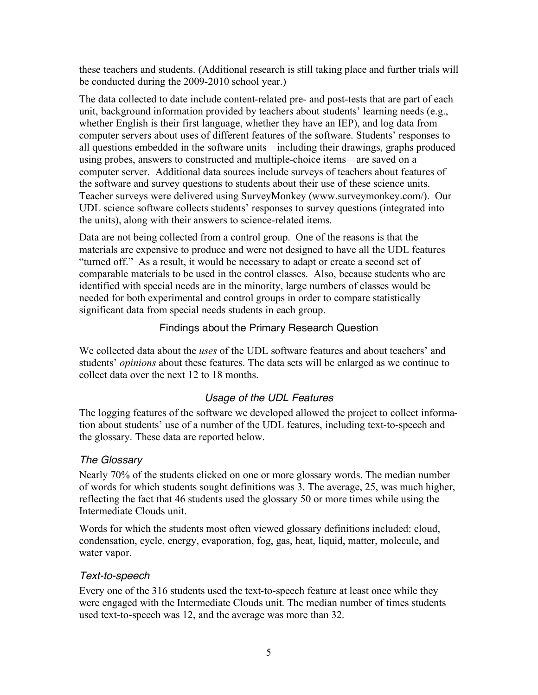these teachers and students. (Additional research is still taking place and further trials will be conducted during the 2009-2010 school year.)

The data collected to date include content-related pre- and post-tests that are part of each unit, background information provided by teachers about students' learning needs (e.g., whether English is their first language, whether they have an IEP), and log data from computer servers about uses of different features of the software. Students' responses to all questions embedded in the software units—including their drawings, graphs produced using probes, answers to constructed and multiple-choice items—are saved on a computer server. Additional data sources include surveys of teachers about features of the software and survey questions to students about their use of these science units. Teacher surveys were delivered using SurveyMonkey (www.surveymonkey.com/). Our UDL science software collects students' responses to survey questions (integrated into the units), along with their answers to science-related items.

Data are not being collected from a control group. One of the reasons is that the materials are expensive to produce and were not designed to have all the UDL features "turned off." As a result, it would be necessary to adapt or create a second set of comparable materials to be used in the control classes. Also, because students who are identified with special needs are in the minority, large numbers of classes would be needed for both experimental and control groups in order to compare statistically significant data from special needs students in each group.

# Findings about the Primary Research Question

We collected data about the *uses* of the UDL software features and about teachers' and students' *opinions* about these features. The data sets will be enlarged as we continue to collect data over the next 12 to 18 months.

# *Usage of the UDL Features*

The logging features of the software we developed allowed the project to collect information about students' use of a number of the UDL features, including text-to-speech and the glossary. These data are reported below.

# *The Glossary*

Nearly 70% of the students clicked on one or more glossary words. The median number of words for which students sought definitions was 3. The average, 25, was much higher, reflecting the fact that 46 students used the glossary 50 or more times while using the Intermediate Clouds unit.

Words for which the students most often viewed glossary definitions included: cloud, condensation, cycle, energy, evaporation, fog, gas, heat, liquid, matter, molecule, and water vapor.

# *Text-to-speech*

Every one of the 316 students used the text-to-speech feature at least once while they were engaged with the Intermediate Clouds unit. The median number of times students used text-to-speech was 12, and the average was more than 32.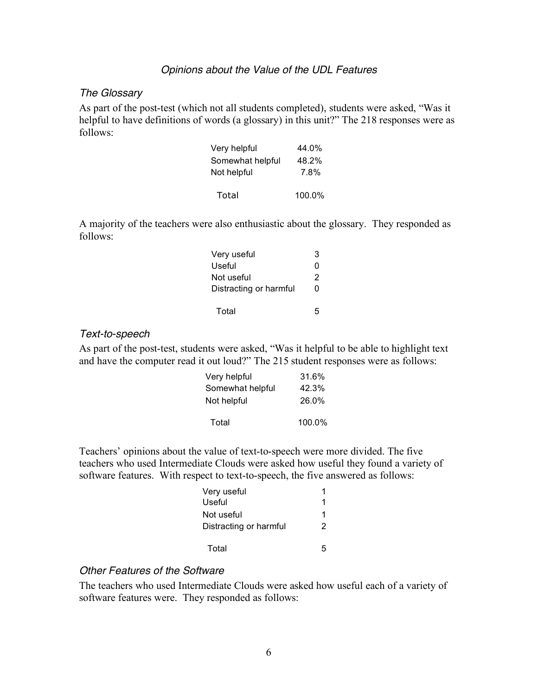#### *Opinions about the Value of the UDL Features*

#### *The Glossary*

As part of the post-test (which not all students completed), students were asked, "Was it helpful to have definitions of words (a glossary) in this unit?" The 218 responses were as follows:

| Very helpful     | 44.0%  |
|------------------|--------|
| Somewhat helpful | 48.2%  |
| Not helpful      | 7.8%   |
| Total            | 100.0% |

A majority of the teachers were also enthusiastic about the glossary. They responded as follows:

| Very useful            | З |
|------------------------|---|
| Useful                 | O |
| Not useful             | 2 |
| Distracting or harmful | O |
| Total                  | ҕ |

#### *Text-to-speech*

As part of the post-test, students were asked, "Was it helpful to be able to highlight text and have the computer read it out loud?" The 215 student responses were as follows:

| Very helpful     | 31.6%  |
|------------------|--------|
| Somewhat helpful | 42.3%  |
| Not helpful      | 26.0%  |
| Total            | 100.0% |

Teachers' opinions about the value of text-to-speech were more divided. The five teachers who used Intermediate Clouds were asked how useful they found a variety of software features. With respect to text-to-speech, the five answered as follows:

| Very useful            | 1 |
|------------------------|---|
| Useful                 | 1 |
| Not useful             | 1 |
| Distracting or harmful | 2 |
| Total                  | 5 |

#### *Other Features of the Software*

The teachers who used Intermediate Clouds were asked how useful each of a variety of software features were. They responded as follows: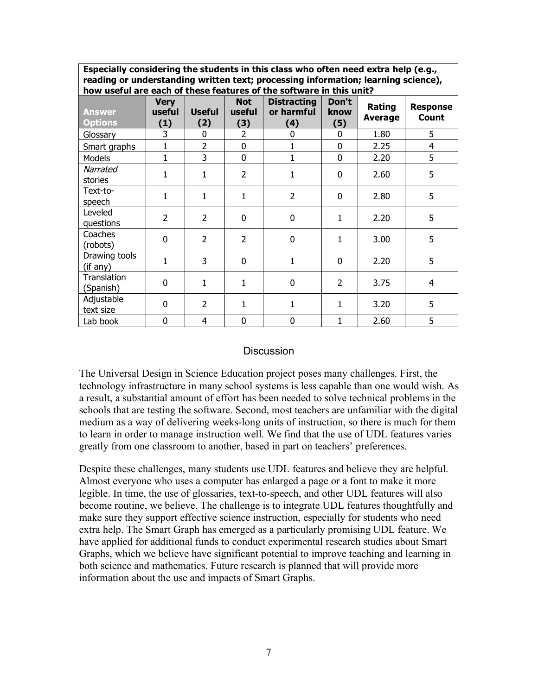**Especially considering the students in this class who often need extra help (e.g., reading or understanding written text; processing information; learning science), how useful are each of these features of the software in this unit?**

| how useful are each of these reatures of the software in this unit? |                              |                      |                             |                                         |                      |                   |                          |  |
|---------------------------------------------------------------------|------------------------------|----------------------|-----------------------------|-----------------------------------------|----------------------|-------------------|--------------------------|--|
| <b>Answer</b><br><b>Options</b>                                     | <b>Very</b><br>useful<br>(1) | <b>Useful</b><br>(2) | <b>Not</b><br>useful<br>(3) | <b>Distracting</b><br>or harmful<br>(4) | Don't<br>know<br>(5) | Rating<br>Average | <b>Response</b><br>Count |  |
| Glossary                                                            | 3                            | 0                    | $\overline{2}$              | 0                                       | 0                    | 1.80              | 5                        |  |
| Smart graphs                                                        | 1                            | $\overline{2}$       | 0                           |                                         | 0                    | 2.25              | $\overline{4}$           |  |
| Models                                                              | 1                            | 3                    | 0                           | $\mathbf{1}$                            | 0                    | 2.20              | 5                        |  |
| Narrated<br>stories                                                 | 1                            | $\mathbf{1}$         | $\overline{2}$              | $\mathbf{1}$                            | $\Omega$             | 2.60              | 5                        |  |
| Text-to-<br>speech                                                  | $\mathbf{1}$                 | $\mathbf{1}$         | $\mathbf{1}$                | $\overline{2}$                          | 0                    | 2.80              | 5                        |  |
| Leveled<br>questions                                                | $\overline{2}$               | $\overline{2}$       | 0                           | 0                                       | 1                    | 2.20              | 5                        |  |
| Coaches<br>(robots)                                                 | 0                            | $\overline{2}$       | $\overline{2}$              | $\mathbf 0$                             | $\mathbf{1}$         | 3.00              | 5                        |  |
| Drawing tools<br>(if any)                                           | 1                            | 3                    | 0                           | 1                                       | 0                    | 2.20              | 5                        |  |
| Translation<br>(Spanish)                                            | 0                            | $\mathbf{1}$         | $\mathbf{1}$                | $\mathbf 0$                             | $\overline{2}$       | 3.75              | $\overline{4}$           |  |
| Adjustable<br>text size                                             | 0                            | $\overline{2}$       | $\mathbf{1}$                | 1                                       | 1                    | 3.20              | 5                        |  |
| Lab book                                                            | 0                            | 4                    | 0                           | 0                                       | $\mathbf{1}$         | 2.60              | 5                        |  |

#### **Discussion**

The Universal Design in Science Education project poses many challenges. First, the technology infrastructure in many school systems is less capable than one would wish. As a result, a substantial amount of effort has been needed to solve technical problems in the schools that are testing the software. Second, most teachers are unfamiliar with the digital medium as a way of delivering weeks-long units of instruction, so there is much for them to learn in order to manage instruction well. We find that the use of UDL features varies greatly from one classroom to another, based in part on teachers' preferences.

Despite these challenges, many students use UDL features and believe they are helpful. Almost everyone who uses a computer has enlarged a page or a font to make it more legible. In time, the use of glossaries, text-to-speech, and other UDL features will also become routine, we believe. The challenge is to integrate UDL features thoughtfully and make sure they support effective science instruction, especially for students who need extra help. The Smart Graph has emerged as a particularly promising UDL feature. We have applied for additional funds to conduct experimental research studies about Smart Graphs, which we believe have significant potential to improve teaching and learning in both science and mathematics. Future research is planned that will provide more information about the use and impacts of Smart Graphs.